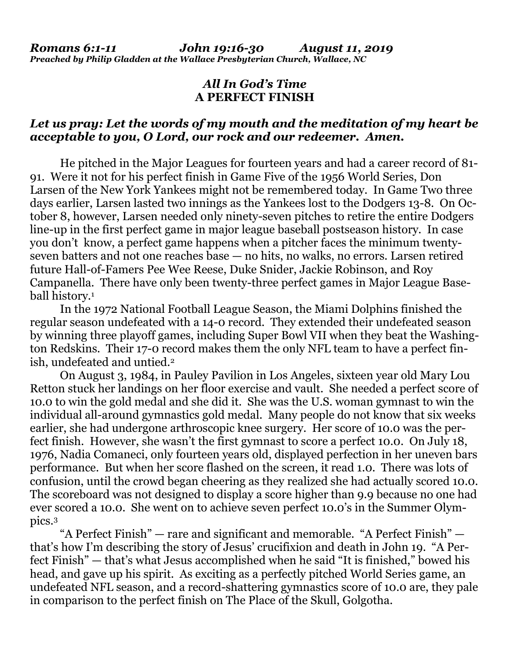## *All In God's Time* **A PERFECT FINISH**

### *Let us pray: Let the words of my mouth and the meditation of my heart be acceptable to you, O Lord, our rock and our redeemer. Amen.*

He pitched in the Major Leagues for fourteen years and had a career record of 81- 91. Were it not for his perfect finish in Game Five of the 1956 World Series, Don Larsen of the New York Yankees might not be remembered today. In Game Two three days earlier, Larsen lasted two innings as the Yankees lost to the Dodgers 13-8. On October 8, however, Larsen needed only ninety-seven pitches to retire the entire Dodgers line-up in the first perfect game in major league baseball postseason history. In case you don't know, a perfect game happens when a pitcher faces the minimum twentyseven batters and not one reaches base — no hits, no walks, no errors. Larsen retired future Hall-of-Famers Pee Wee Reese, Duke Snider, Jackie Robinson, and Roy Campanella. There have only been twenty-three perfect games in Major League Baseball history.<sup>1</sup>

In the 1972 National Football League Season, the Miami Dolphins finished the regular season undefeated with a 14-0 record. They extended their undefeated season by winning three playoff games, including Super Bowl VII when they beat the Washington Redskins. Their 17-0 record makes them the only NFL team to have a perfect finish, undefeated and untied.<sup>2</sup>

On August 3, 1984, in Pauley Pavilion in Los Angeles, sixteen year old Mary Lou Retton stuck her landings on her floor exercise and vault. She needed a perfect score of 10.0 to win the gold medal and she did it. She was the U.S. woman gymnast to win the individual all-around gymnastics gold medal. Many people do not know that six weeks earlier, she had undergone arthroscopic knee surgery. Her score of 10.0 was the perfect finish. However, she wasn't the first gymnast to score a perfect 10.0. On July 18, 1976, Nadia Comaneci, only fourteen years old, displayed perfection in her uneven bars performance. But when her score flashed on the screen, it read 1.0. There was lots of confusion, until the crowd began cheering as they realized she had actually scored 10.0. The scoreboard was not designed to display a score higher than 9.9 because no one had ever scored a 10.0. She went on to achieve seven perfect 10.0's in the Summer Olympics.<sup>3</sup>

"A Perfect Finish" — rare and significant and memorable. "A Perfect Finish" that's how I'm describing the story of Jesus' crucifixion and death in John 19. "A Perfect Finish" — that's what Jesus accomplished when he said "It is finished," bowed his head, and gave up his spirit. As exciting as a perfectly pitched World Series game, an undefeated NFL season, and a record-shattering gymnastics score of 10.0 are, they pale in comparison to the perfect finish on The Place of the Skull, Golgotha.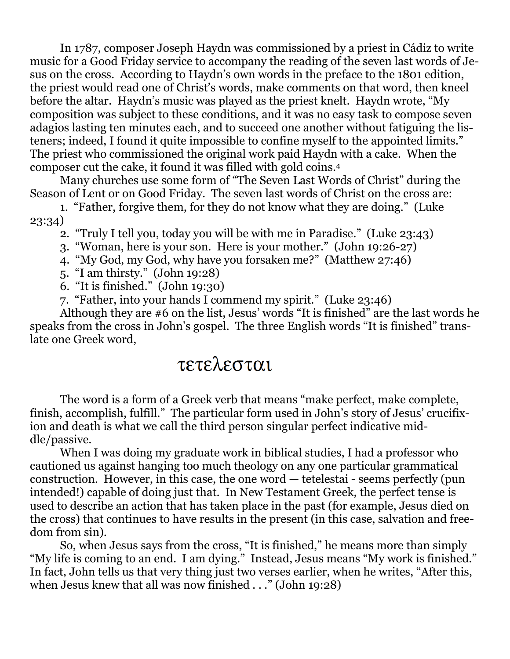In 1787, composer Joseph Haydn was commissioned by a priest in Cádiz to write music for a Good Friday service to accompany the reading of the seven last words of Jesus on the cross. According to Haydn's own words in the preface to the 1801 edition, the priest would read one of Christ's words, make comments on that word, then kneel before the altar. Haydn's music was played as the priest knelt. Haydn wrote, "My composition was subject to these conditions, and it was no easy task to compose seven adagios lasting ten minutes each, and to succeed one another without fatiguing the listeners; indeed, I found it quite impossible to confine myself to the appointed limits." The priest who commissioned the original work paid Haydn with a cake. When the composer cut the cake, it found it was filled with gold coins.<sup>4</sup>

Many churches use some form of "The Seven Last Words of Christ" during the Season of Lent or on Good Friday. The seven last words of Christ on the cross are:

1. "Father, forgive them, for they do not know what they are doing." (Luke 23:34)

2. "Truly I tell you, today you will be with me in Paradise." (Luke 23:43)

3. "Woman, here is your son. Here is your mother." (John 19:26-27)

4. "My God, my God, why have you forsaken me?" (Matthew 27:46)

5. "I am thirsty." (John 19:28)

6. "It is finished." (John 19:30)

7. "Father, into your hands I commend my spirit." (Luke 23:46)

Although they are #6 on the list, Jesus' words "It is finished" are the last words he speaks from the cross in John's gospel. The three English words "It is finished" translate one Greek word,

# τετελεσται

The word is a form of a Greek verb that means "make perfect, make complete, finish, accomplish, fulfill." The particular form used in John's story of Jesus' crucifixion and death is what we call the third person singular perfect indicative middle/passive.

When I was doing my graduate work in biblical studies, I had a professor who cautioned us against hanging too much theology on any one particular grammatical construction. However, in this case, the one word — tetelestai - seems perfectly (pun intended!) capable of doing just that. In New Testament Greek, the perfect tense is used to describe an action that has taken place in the past (for example, Jesus died on the cross) that continues to have results in the present (in this case, salvation and freedom from sin).

So, when Jesus says from the cross, "It is finished," he means more than simply "My life is coming to an end. I am dying." Instead, Jesus means "My work is finished." In fact, John tells us that very thing just two verses earlier, when he writes, "After this, when Jesus knew that all was now finished . . ." (John 19:28)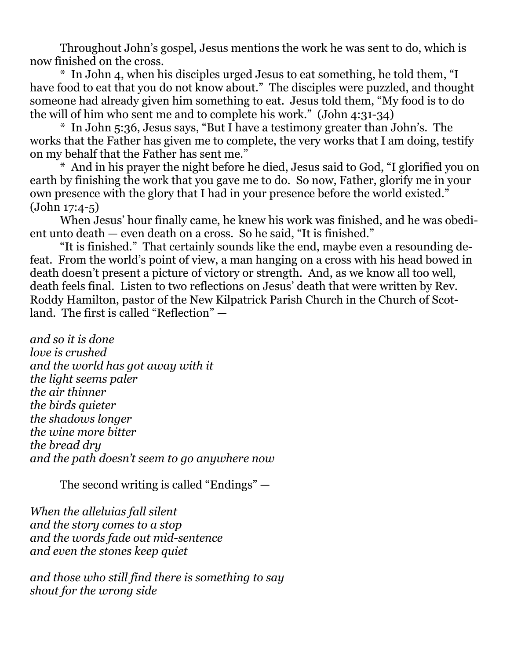Throughout John's gospel, Jesus mentions the work he was sent to do, which is now finished on the cross.

\* In John 4, when his disciples urged Jesus to eat something, he told them, "I have food to eat that you do not know about." The disciples were puzzled, and thought someone had already given him something to eat. Jesus told them, "My food is to do the will of him who sent me and to complete his work." (John 4:31-34)

\* In John 5:36, Jesus says, "But I have a testimony greater than John's. The works that the Father has given me to complete, the very works that I am doing, testify on my behalf that the Father has sent me."

\* And in his prayer the night before he died, Jesus said to God, "I glorified you on earth by finishing the work that you gave me to do. So now, Father, glorify me in your own presence with the glory that I had in your presence before the world existed." (John 17:4-5)

When Jesus' hour finally came, he knew his work was finished, and he was obedient unto death — even death on a cross. So he said, "It is finished."

"It is finished." That certainly sounds like the end, maybe even a resounding defeat. From the world's point of view, a man hanging on a cross with his head bowed in death doesn't present a picture of victory or strength. And, as we know all too well, death feels final. Listen to two reflections on Jesus' death that were written by Rev. Roddy Hamilton, pastor of the New Kilpatrick Parish Church in the Church of Scotland. The first is called "Reflection" —

*and so it is done love is crushed and the world has got away with it the light seems paler the air thinner the birds quieter the shadows longer the wine more bitter the bread dry and the path doesn't seem to go anywhere now*

The second writing is called "Endings" —

*When the alleluias fall silent and the story comes to a stop and the words fade out mid-sentence and even the stones keep quiet*

*and those who still find there is something to say shout for the wrong side*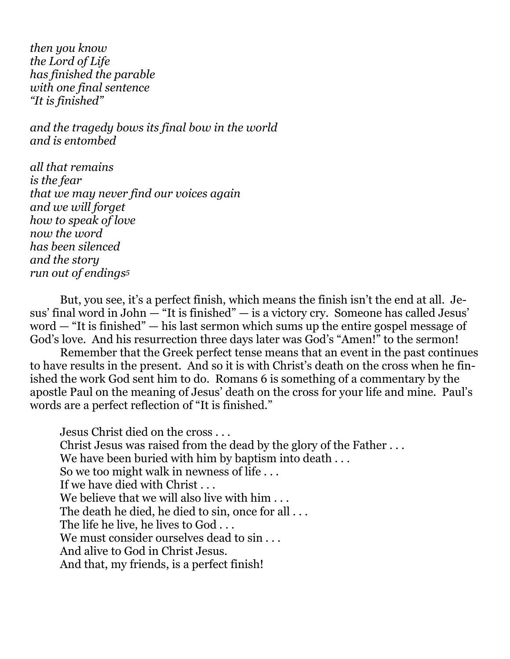*then you know the Lord of Life has finished the parable with one final sentence "It is finished"*

*and the tragedy bows its final bow in the world and is entombed*

*all that remains is the fear that we may never find our voices again and we will forget how to speak of love now the word has been silenced and the story run out of endings<sup>5</sup>*

But, you see, it's a perfect finish, which means the finish isn't the end at all. Jesus' final word in John  $-$  "It is finished"  $-$  is a victory cry. Someone has called Jesus' word — "It is finished" — his last sermon which sums up the entire gospel message of God's love. And his resurrection three days later was God's "Amen!" to the sermon!

Remember that the Greek perfect tense means that an event in the past continues to have results in the present. And so it is with Christ's death on the cross when he finished the work God sent him to do. Romans 6 is something of a commentary by the apostle Paul on the meaning of Jesus' death on the cross for your life and mine. Paul's words are a perfect reflection of "It is finished."

Jesus Christ died on the cross . . . Christ Jesus was raised from the dead by the glory of the Father . . . We have been buried with him by baptism into death . . . So we too might walk in newness of life . . . If we have died with Christ . . . We believe that we will also live with him . . . The death he died, he died to sin, once for all . . . The life he live, he lives to God ... We must consider ourselves dead to sin... And alive to God in Christ Jesus. And that, my friends, is a perfect finish!